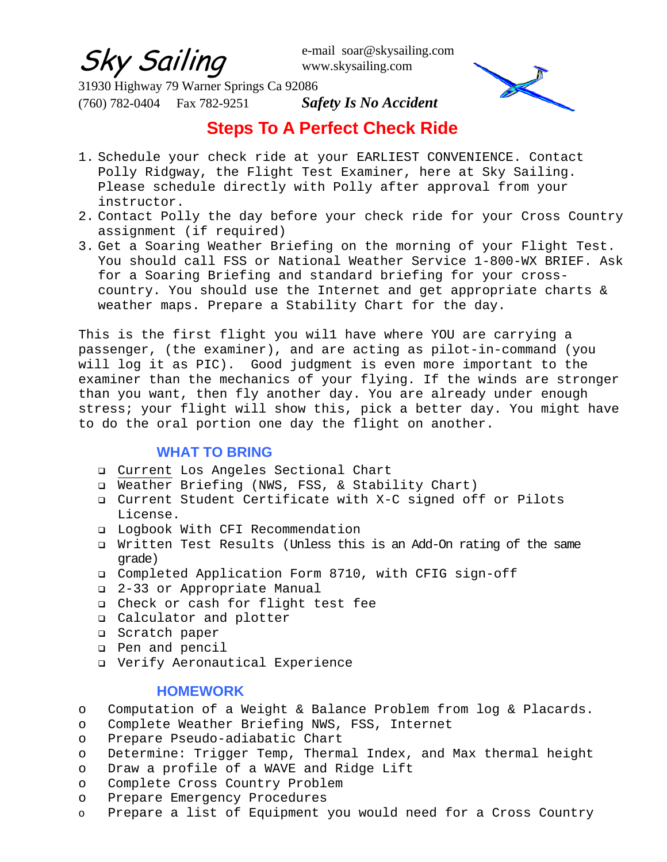Sky Sailing

e-mail soar@skysailing.com www.skysailing.com

31930 Highway 79 Warner Springs Ca 92086 (760) 782-0404 Fax 782-9251 *Safety Is No Accident*



# **Steps To A Perfect Check Ride**

- 1. Schedule your check ride at your EARLIEST CONVENIENCE. Contact Polly Ridgway, the Flight Test Examiner, here at Sky Sailing. Please schedule directly with Polly after approval from your instructor.
- 2. Contact Polly the day before your check ride for your Cross Country assignment (if required)
- 3. Get a Soaring Weather Briefing on the morning of your Flight Test. You should call FSS or National Weather Service 1-800-WX BRIEF. Ask for a Soaring Briefing and standard briefing for your crosscountry. You should use the Internet and get appropriate charts & weather maps. Prepare a Stability Chart for the day.

This is the first flight you wil1 have where YOU are carrying a passenger, (the examiner), and are acting as pilot-in-command (you will log it as PIC). Good judgment is even more important to the examiner than the mechanics of your flying. If the winds are stronger than you want, then fly another day. You are already under enough stress; your flight will show this, pick a better day. You might have to do the oral portion one day the flight on another.

# **WHAT TO BRING**

- Current Los Angeles Sectional Chart
- D Weather Briefing (NWS, FSS, & Stability Chart)
- Current Student Certificate with X-C signed off or Pilots License.
- D Logbook With CFI Recommendation
- Written Test Results (Unless this is an Add-On rating of the same grade)
- Completed Application Form 8710, with CFIG sign-off
- 2-33 or Appropriate Manual
- Check or cash for flight test fee
- Calculator and plotter
- **Q** Scratch paper
- Pen and pencil
- Verify Aeronautical Experience

# **HOMEWORK**

- o Computation of a Weight & Balance Problem from log & Placards.
- o Complete Weather Briefing NWS, FSS, Internet
- o Prepare Pseudo-adiabatic Chart
- o Determine: Trigger Temp, Thermal Index, and Max thermal height
- o Draw a profile of a WAVE and Ridge Lift
- o Complete Cross Country Problem
- o Prepare Emergency Procedures
- o Prepare a list of Equipment you would need for a Cross Country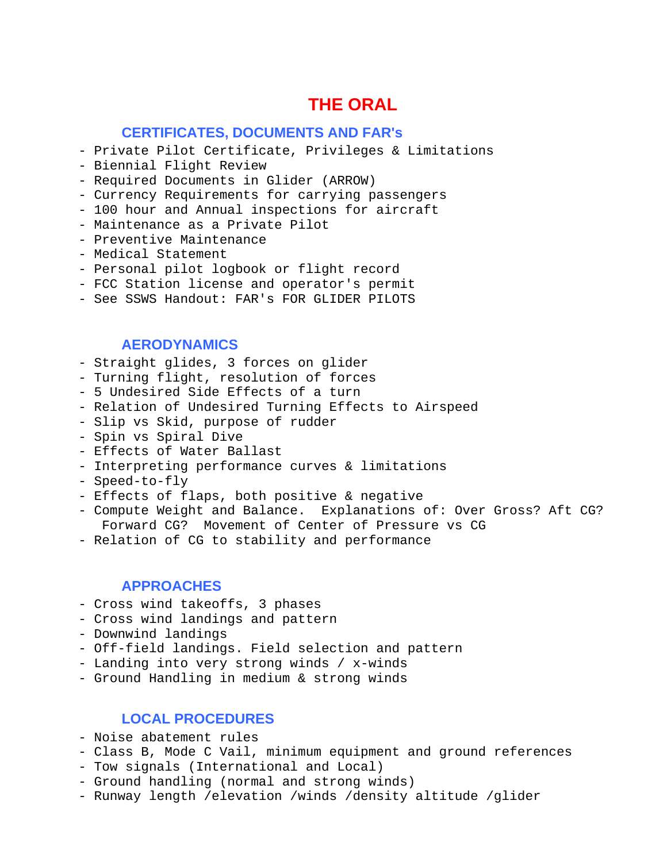# **THE ORAL**

### **CERTIFICATES, DOCUMENTS AND FAR's**

- Private Pilot Certificate, Privileges & Limitations
- Biennial Flight Review
- Required Documents in Glider (ARROW)
- Currency Requirements for carrying passengers
- 100 hour and Annual inspections for aircraft
- Maintenance as a Private Pilot
- Preventive Maintenance
- Medical Statement
- Personal pilot logbook or flight record
- FCC Station license and operator's permit
- See SSWS Handout: FAR's FOR GLIDER PILOTS

### **AERODYNAMICS**

- Straight glides, 3 forces on glider
- Turning flight, resolution of forces
- 5 Undesired Side Effects of a turn
- Relation of Undesired Turning Effects to Airspeed
- Slip vs Skid, purpose of rudder
- Spin vs Spiral Dive
- Effects of Water Ballast
- Interpreting performance curves & limitations
- Speed-to-fly
- Effects of flaps, both positive & negative
- Compute Weight and Balance. Explanations of: Over Gross? Aft CG? Forward CG? Movement of Center of Pressure vs CG
- Relation of CG to stability and performance

### **APPROACHES**

- Cross wind takeoffs, 3 phases
- Cross wind landings and pattern
- Downwind landings
- Off-field landings. Field selection and pattern
- Landing into very strong winds / x-winds
- Ground Handling in medium & strong winds

# **LOCAL PROCEDURES**

- Noise abatement rules
- Class B, Mode C Vail, minimum equipment and ground references
- Tow signals (International and Local)
- Ground handling (normal and strong winds)
- Runway length /elevation /winds /density altitude /glider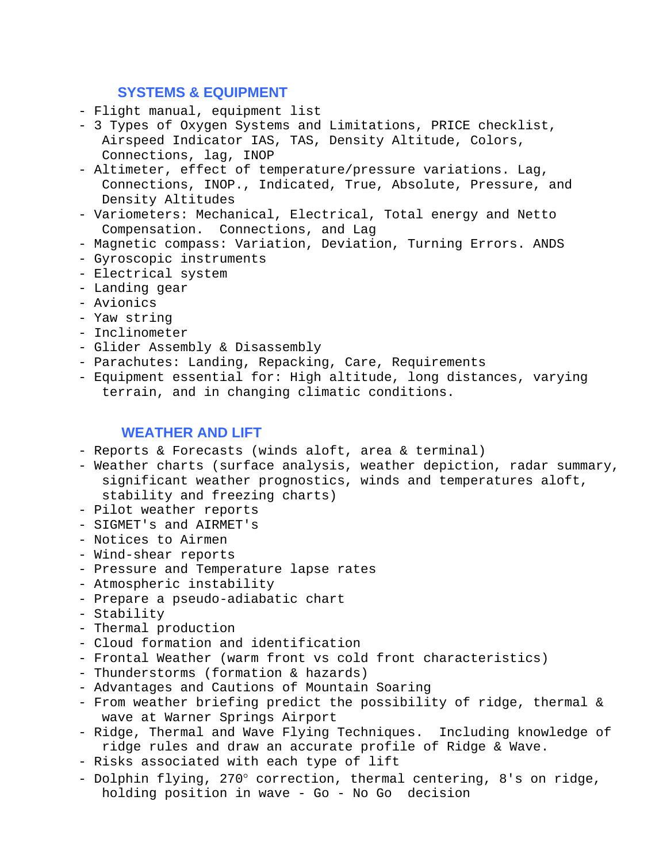# **SYSTEMS & EQUIPMENT**

- Flight manual, equipment list
- 3 Types of Oxygen Systems and Limitations, PRICE checklist, Airspeed Indicator IAS, TAS, Density Altitude, Colors, Connections, lag, INOP
- Altimeter, effect of temperature/pressure variations. Lag, Connections, INOP., Indicated, True, Absolute, Pressure, and Density Altitudes
- Variometers: Mechanical, Electrical, Total energy and Netto Compensation. Connections, and Lag
- Magnetic compass: Variation, Deviation, Turning Errors. ANDS
- Gyroscopic instruments
- Electrical system
- Landing gear
- Avionics
- Yaw string
- Inclinometer
- Glider Assembly & Disassembly
- Parachutes: Landing, Repacking, Care, Requirements
- Equipment essential for: High altitude, long distances, varying terrain, and in changing climatic conditions.

# **WEATHER AND LIFT**

- Reports & Forecasts (winds aloft, area & terminal)
- Weather charts (surface analysis, weather depiction, radar summary, significant weather prognostics, winds and temperatures aloft, stability and freezing charts)
- Pilot weather reports
- SIGMET's and AIRMET's
- Notices to Airmen
- Wind-shear reports
- Pressure and Temperature lapse rates
- Atmospheric instability
- Prepare a pseudo-adiabatic chart
- Stability
- Thermal production
- Cloud formation and identification
- Frontal Weather (warm front vs cold front characteristics)
- Thunderstorms (formation & hazards)
- Advantages and Cautions of Mountain Soaring
- From weather briefing predict the possibility of ridge, thermal & wave at Warner Springs Airport
- Ridge, Thermal and Wave Flying Techniques. Including knowledge of ridge rules and draw an accurate profile of Ridge & Wave.
- Risks associated with each type of lift
- Dolphin flying, 270° correction, thermal centering, 8's on ridge, holding position in wave - Go - No Go decision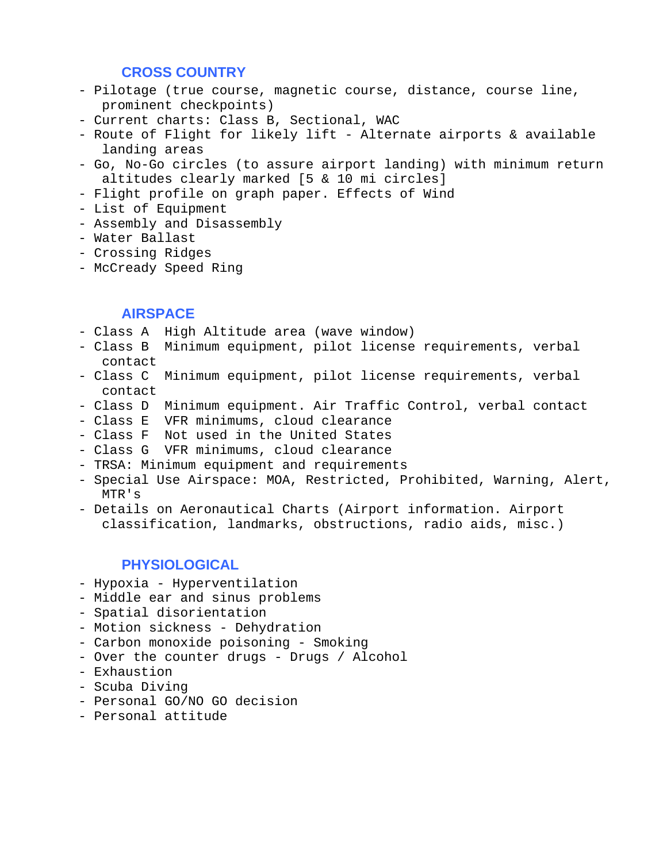### **CROSS COUNTRY**

- Pilotage (true course, magnetic course, distance, course line, prominent checkpoints)
- Current charts: Class B, Sectional, WAC
- Route of Flight for likely lift Alternate airports & available landing areas
- Go, No-Go circles (to assure airport landing) with minimum return altitudes clearly marked [5 & 10 mi circles]
- Flight profile on graph paper. Effects of Wind
- List of Equipment
- Assembly and Disassembly
- Water Ballast
- Crossing Ridges
- McCready Speed Ring

### **AIRSPACE**

- Class A High Altitude area (wave window)
- Class B Minimum equipment, pilot license requirements, verbal contact
- Class C Minimum equipment, pilot license requirements, verbal contact
- Class D Minimum equipment. Air Traffic Control, verbal contact
- Class E VFR minimums, cloud clearance
- Class F Not used in the United States
- Class G VFR minimums, cloud clearance
- TRSA: Minimum equipment and requirements
- Special Use Airspace: MOA, Restricted, Prohibited, Warning, Alert, MTR's
- Details on Aeronautical Charts (Airport information. Airport classification, landmarks, obstructions, radio aids, misc.)

# **PHYSIOLOGICAL**

- Hypoxia Hyperventilation
- Middle ear and sinus problems
- Spatial disorientation
- Motion sickness Dehydration
- Carbon monoxide poisoning Smoking
- Over the counter drugs Drugs / Alcohol
- Exhaustion
- Scuba Diving
- Personal GO/NO GO decision
- Personal attitude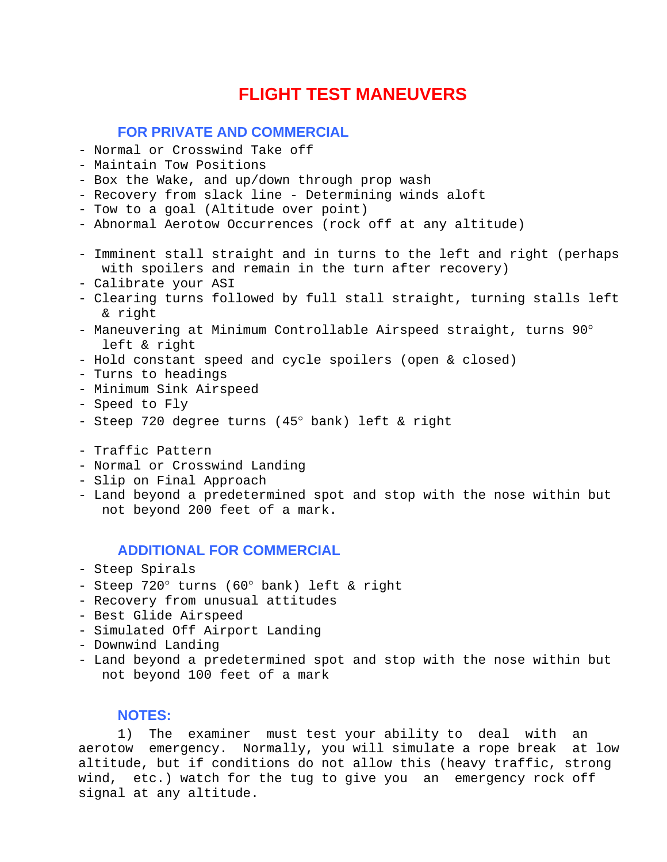# **FLIGHT TEST MANEUVERS**

# **FOR PRIVATE AND COMMERCIAL**

- Normal or Crosswind Take off
- Maintain Tow Positions
- Box the Wake, and up/down through prop wash
- Recovery from slack line Determining winds aloft
- Tow to a goal (Altitude over point)
- Abnormal Aerotow Occurrences (rock off at any altitude)
- Imminent stall straight and in turns to the left and right (perhaps with spoilers and remain in the turn after recovery)
- Calibrate your ASI
- Clearing turns followed by full stall straight, turning stalls left & right
- Maneuvering at Minimum Controllable Airspeed straight, turns 90° left & right
- Hold constant speed and cycle spoilers (open & closed)
- Turns to headings
- Minimum Sink Airspeed
- Speed to Fly
- Steep 720 degree turns (45° bank) left & right
- Traffic Pattern
- Normal or Crosswind Landing
- Slip on Final Approach
- Land beyond a predetermined spot and stop with the nose within but not beyond 200 feet of a mark.

## **ADDITIONAL FOR COMMERCIAL**

- Steep Spirals
- Steep 720° turns (60° bank) left & right
- Recovery from unusual attitudes
- Best Glide Airspeed
- Simulated Off Airport Landing
- Downwind Landing
- Land beyond a predetermined spot and stop with the nose within but not beyond 100 feet of a mark

#### **NOTES:**

 1) The examiner must test your ability to deal with an aerotow emergency. Normally, you will simulate a rope break at low altitude, but if conditions do not allow this (heavy traffic, strong wind, etc.) watch for the tug to give you an emergency rock off signal at any altitude.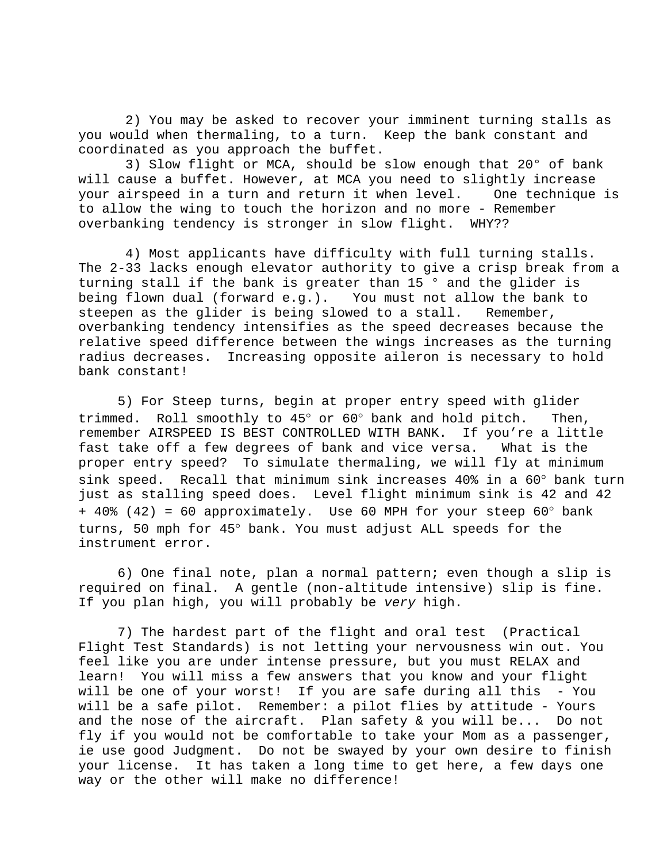2) You may be asked to recover your imminent turning stalls as you would when thermaling, to a turn. Keep the bank constant and coordinated as you approach the buffet.

 3) Slow flight or MCA, should be slow enough that 20° of bank will cause a buffet. However, at MCA you need to slightly increase your airspeed in a turn and return it when level. One technique is to allow the wing to touch the horizon and no more - Remember overbanking tendency is stronger in slow flight. WHY??

 4) Most applicants have difficulty with full turning stalls. The 2-33 lacks enough elevator authority to give a crisp break from a turning stall if the bank is greater than 15 ° and the glider is being flown dual (forward e.g.). You must not allow the bank to steepen as the glider is being slowed to a stall. Remember, overbanking tendency intensifies as the speed decreases because the relative speed difference between the wings increases as the turning radius decreases. Increasing opposite aileron is necessary to hold bank constant!

 5) For Steep turns, begin at proper entry speed with glider trimmed. Roll smoothly to 45° or 60° bank and hold pitch. Then, remember AIRSPEED IS BEST CONTROLLED WITH BANK. If you're a little fast take off a few degrees of bank and vice versa. What is the proper entry speed? To simulate thermaling, we will fly at minimum sink speed. Recall that minimum sink increases 40% in a 60° bank turn just as stalling speed does. Level flight minimum sink is 42 and 42 + 40% (42) = 60 approximately. Use 60 MPH for your steep 60° bank turns, 50 mph for 45° bank. You must adjust ALL speeds for the instrument error.

 6) One final note, plan a normal pattern; even though a slip is required on final. A gentle (non-altitude intensive) slip is fine. If you plan high, you will probably be *very* high.

 7) The hardest part of the flight and oral test (Practical Flight Test Standards) is not letting your nervousness win out. You feel like you are under intense pressure, but you must RELAX and learn! You will miss a few answers that you know and your flight will be one of your worst! If you are safe during all this - You will be a safe pilot. Remember: a pilot flies by attitude - Yours and the nose of the aircraft. Plan safety & you will be... Do not fly if you would not be comfortable to take your Mom as a passenger, ie use good Judgment. Do not be swayed by your own desire to finish your license. It has taken a long time to get here, a few days one way or the other will make no difference!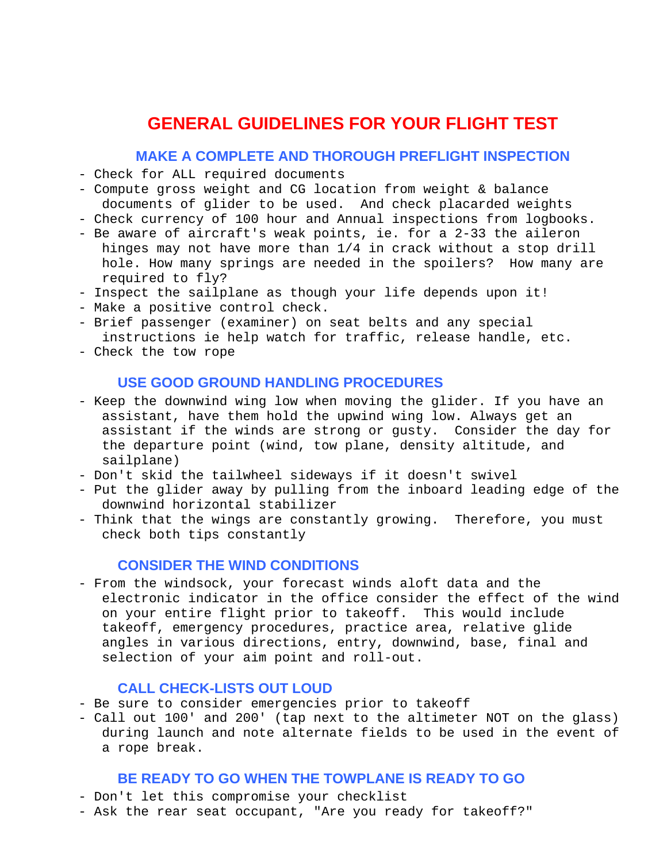# **GENERAL GUIDELINES FOR YOUR FLIGHT TEST**

### **MAKE A COMPLETE AND THOROUGH PREFLIGHT INSPECTION**

- Check for ALL required documents
- Compute gross weight and CG location from weight & balance documents of glider to be used. And check placarded weights
- Check currency of 100 hour and Annual inspections from logbooks.
- Be aware of aircraft's weak points, ie. for a 2-33 the aileron hinges may not have more than 1/4 in crack without a stop drill hole. How many springs are needed in the spoilers? How many are required to fly?
- Inspect the sailplane as though your life depends upon it!
- Make a positive control check.
- Brief passenger (examiner) on seat belts and any special instructions ie help watch for traffic, release handle, etc.
- Check the tow rope

## **USE GOOD GROUND HANDLING PROCEDURES**

- Keep the downwind wing low when moving the glider. If you have an assistant, have them hold the upwind wing low. Always get an assistant if the winds are strong or gusty. Consider the day for the departure point (wind, tow plane, density altitude, and sailplane)
- Don't skid the tailwheel sideways if it doesn't swivel
- Put the glider away by pulling from the inboard leading edge of the downwind horizontal stabilizer
- Think that the wings are constantly growing. Therefore, you must check both tips constantly

# **CONSIDER THE WIND CONDITIONS**

- From the windsock, your forecast winds aloft data and the electronic indicator in the office consider the effect of the wind on your entire flight prior to takeoff. This would include takeoff, emergency procedures, practice area, relative glide angles in various directions, entry, downwind, base, final and selection of your aim point and roll-out.

## **CALL CHECK-LISTS OUT LOUD**

- Be sure to consider emergencies prior to takeoff
- Call out 100' and 200' (tap next to the altimeter NOT on the glass) during launch and note alternate fields to be used in the event of a rope break.

## **BE READY TO GO WHEN THE TOWPLANE IS READY TO GO**

- Don't let this compromise your checklist
- Ask the rear seat occupant, "Are you ready for takeoff?"